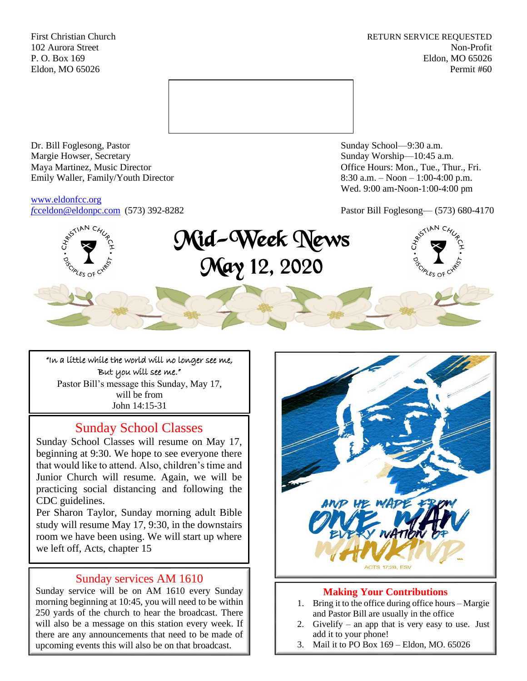First Christian Church **RETURN SERVICE REQUESTED** 102 Aurora Street Non-Profit P. O. Box 169 Eldon, MO 65026 Eldon, MO 65026 Permit #60



Dr. Bill Foglesong, Pastor Sunday School—9:30 a.m. Margie Howser, Secretary Sunday Worship—10:45 a.m. Maya Martinez, Music Director Office Hours: Mon., Tue., Thur., Fri. Emily Waller, Family/Youth Director 8:30 a.m. – Noon – 1:00-4:00 p.m.

[www.eldonfcc.org](http://www.eldonfcc.org/)

Wed. 9:00 am-Noon-1:00-4:00 pm

*f*[cceldon@eldonpc.com](mailto:fcceldon@eldonpc.com) (573) 392-8282 Pastor Bill Foglesong— (573) 680-4170



# Mid-Week News May 12, 2020



"In a little while the world will no longer see me, But you will see me." Pastor Bill's message this Sunday, May 17, will be from John 14:15-31

# Sunday School Classes

Sunday School Classes will resume on May 17, beginning at 9:30. We hope to see everyone there that would like to attend. Also, children's time and Junior Church will resume. Again, we will be practicing social distancing and following the CDC guidelines.

Per Sharon Taylor, Sunday morning adult Bible study will resume May 17, 9:30, in the downstairs room we have been using. We will start up where we left off, Acts, chapter 15

# Sunday services AM 1610

Sunday service will be on AM 1610 every Sunday morning beginning at 10:45, you will need to be within 250 yards of the church to hear the broadcast. There will also be a message on this station every week. If there are any announcements that need to be made of upcoming events this will also be on that broadcast.



### **Making Your Contributions**

- 1. Bring it to the office during office hours Margie and Pastor Bill are usually in the office
- 2. Givelify an app that is very easy to use. Just add it to your phone!
- 3. Mail it to PO Box 169 Eldon, MO. 65026